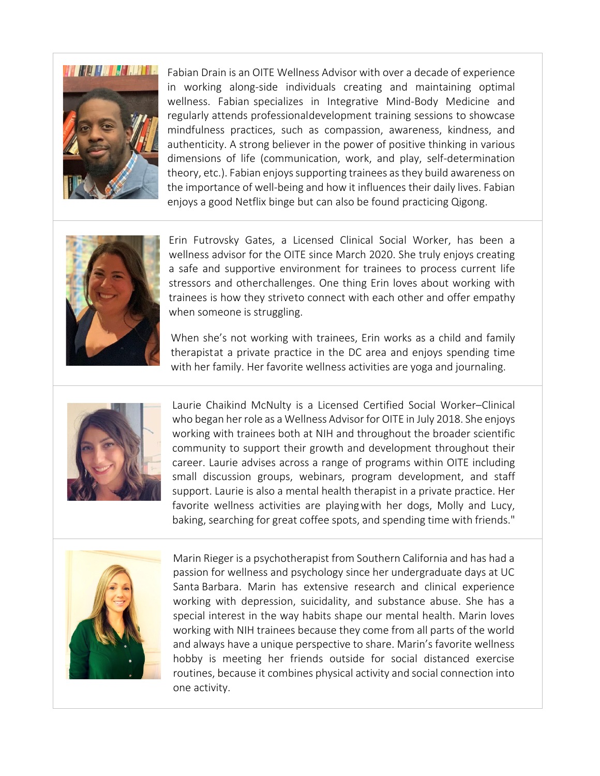

Fabian Drain is an OITE Wellness Advisor with over a decade of experience in working along-side individuals creating and maintaining optimal wellness. Fabian specializes in Integrative Mind-Body Medicine and regularly attends professionaldevelopment training sessions to showcase mindfulness practices, such as compassion, awareness, kindness, and authenticity. A strong believer in the power of positive thinking in various dimensions of life (communication, work, and play, self-determination theory, etc.). Fabian enjoys supporting trainees asthey build awareness on the importance of well-being and how it influences their daily lives. Fabian enjoys a good Netflix binge but can also be found practicing Qigong.



Erin Futrovsky Gates, a Licensed Clinical Social Worker, has been a wellness advisor for the OITE since March 2020. She truly enjoys creating a safe and supportive environment for trainees to process current life stressors and otherchallenges. One thing Erin loves about working with trainees is how they striveto connect with each other and offer empathy when someone is struggling.

When she's not working with trainees, Erin works as a child and family therapistat a private practice in the DC area and enjoys spending time with her family. Her favorite wellness activities are yoga and journaling.



Laurie Chaikind McNulty is a Licensed Certified Social Worker–Clinical who began her role as a Wellness Advisor for OITE in July 2018. She enjoys working with trainees both at NIH and throughout the broader scientific community to support their growth and development throughout their career. Laurie advises across a range of programs within OITE including small discussion groups, webinars, program development, and staff support. Laurie is also a mental health therapist in a private practice. Her favorite wellness activities are playingwith her dogs, Molly and Lucy, baking, searching for great coffee spots, and spending time with friends."



Marin Rieger is a psychotherapist from Southern California and has had a passion for wellness and psychology since her undergraduate days at UC Santa Barbara. Marin has extensive research and clinical experience working with depression, suicidality, and substance abuse. She has a special interest in the way habits shape our mental health. Marin loves working with NIH trainees because they come from all parts of the world and always have a unique perspective to share. Marin's favorite wellness hobby is meeting her friends outside for social distanced exercise routines, because it combines physical activity and social connection into one activity.